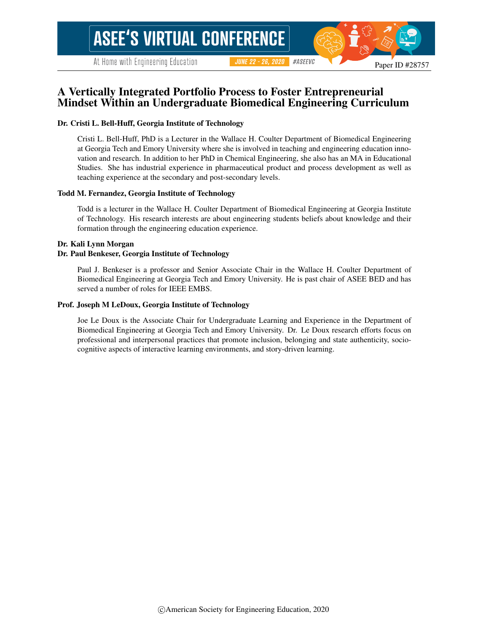# A Vertically Integrated Portfolio Process to Foster Entrepreneurial Mindset Within an Undergraduate Biomedical Engineering Curriculum

#### Dr. Cristi L. Bell-Huff, Georgia Institute of Technology

Cristi L. Bell-Huff, PhD is a Lecturer in the Wallace H. Coulter Department of Biomedical Engineering at Georgia Tech and Emory University where she is involved in teaching and engineering education innovation and research. In addition to her PhD in Chemical Engineering, she also has an MA in Educational Studies. She has industrial experience in pharmaceutical product and process development as well as teaching experience at the secondary and post-secondary levels.

#### Todd M. Fernandez, Georgia Institute of Technology

Todd is a lecturer in the Wallace H. Coulter Department of Biomedical Engineering at Georgia Institute of Technology. His research interests are about engineering students beliefs about knowledge and their formation through the engineering education experience.

#### Dr. Kali Lynn Morgan

#### Dr. Paul Benkeser, Georgia Institute of Technology

Paul J. Benkeser is a professor and Senior Associate Chair in the Wallace H. Coulter Department of Biomedical Engineering at Georgia Tech and Emory University. He is past chair of ASEE BED and has served a number of roles for IEEE EMBS.

#### Prof. Joseph M LeDoux, Georgia Institute of Technology

Joe Le Doux is the Associate Chair for Undergraduate Learning and Experience in the Department of Biomedical Engineering at Georgia Tech and Emory University. Dr. Le Doux research efforts focus on professional and interpersonal practices that promote inclusion, belonging and state authenticity, sociocognitive aspects of interactive learning environments, and story-driven learning.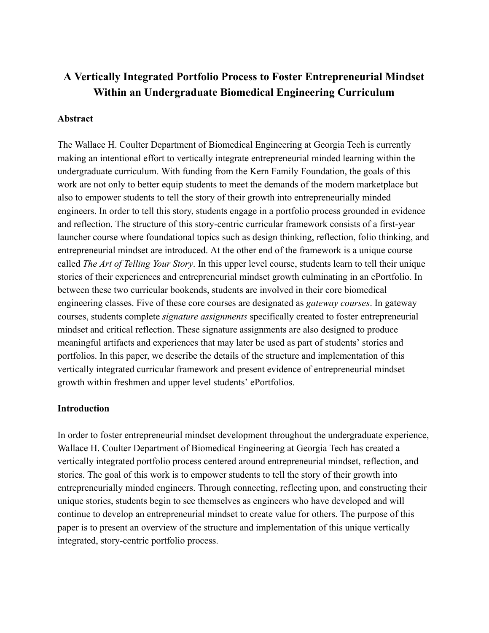# **A Vertically Integrated Portfolio Process to Foster Entrepreneurial Mindset Within an Undergraduate Biomedical Engineering Curriculum**

## **Abstract**

The Wallace H. Coulter Department of Biomedical Engineering at Georgia Tech is currently making an intentional effort to vertically integrate entrepreneurial minded learning within the undergraduate curriculum. With funding from the Kern Family Foundation, the goals of this work are not only to better equip students to meet the demands of the modern marketplace but also to empower students to tell the story of their growth into entrepreneurially minded engineers. In order to tell this story, students engage in a portfolio process grounded in evidence and reflection. The structure of this story-centric curricular framework consists of a first-year launcher course where foundational topics such as design thinking, reflection, folio thinking, and entrepreneurial mindset are introduced. At the other end of the framework is a unique course called *The Art of Telling Your Story* . In this upper level course, students learn to tell their unique stories of their experiences and entrepreneurial mindset growth culminating in an ePortfolio. In between these two curricular bookends, students are involved in their core biomedical engineering classes. Five of these core courses are designated as *gateway courses* . In gateway courses, students complete *signature assignments* specifically created to foster entrepreneurial mindset and critical reflection. These signature assignments are also designed to produce meaningful artifacts and experiences that may later be used as part of students' stories and portfolios. In this paper, we describe the details of the structure and implementation of this vertically integrated curricular framework and present evidence of entrepreneurial mindset growth within freshmen and upper level students' ePortfolios.

## **Introduction**

In order to foster entrepreneurial mindset development throughout the undergraduate experience, Wallace H. Coulter Department of Biomedical Engineering at Georgia Tech has created a vertically integrated portfolio process centered around entrepreneurial mindset, reflection, and stories. The goal of this work is to empower students to tell the story of their growth into entrepreneurially minded engineers. Through connecting, reflecting upon, and constructing their unique stories, students begin to see themselves as engineers who have developed and will continue to develop an entrepreneurial mindset to create value for others. The purpose of this paper is to present an overview of the structure and implementation of this unique vertically integrated, story-centric portfolio process.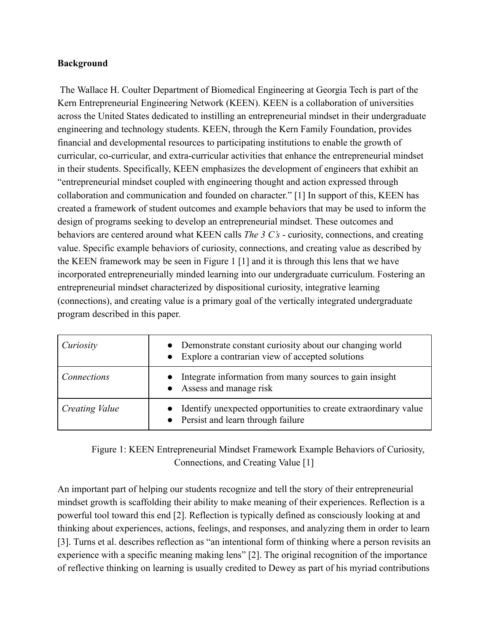## **Background**

 The Wallace H. Coulter Department of Biomedical Engineering at Georgia Tech is part of the Kern Entrepreneurial Engineering Network (KEEN). KEEN is a collaboration of universities across the United States dedicated to instilling an entrepreneurial mindset in their undergraduate engineering and technology students. KEEN, through the Kern Family Foundation, provides financial and developmental resources to participating institutions to enable the growth of curricular, co-curricular, and extra-curricular activities that enhance the entrepreneurial mindset in their students. Specifically, KEEN emphasizes the development of engineers that exhibit an "entrepreneurial mindset coupled with engineering thought and action expressed through collaboration and communication and founded on character." [\[1\]](https://www.zotero.org/google-docs/?bE6Xvj) In support of this, KEEN has created a framework of student outcomes and example behaviors that may be used to inform the design of programs seeking to develop an entrepreneurial mindset. These outcomes and behaviors are centered around what KEEN calls *The 3 C's* - curiosity, connections, and creating value. Specific example behaviors of curiosity, connections, and creating value as described by the KEEN framework may be seen in Figure 1 [\[1\]](https://www.zotero.org/google-docs/?5Tkukq) and it is through this lens that we have incorporated entrepreneurially minded learning into our undergraduate curriculum. Fostering an entrepreneurial mindset characterized by dispositional curiosity, integrative learning (connections), and creating value is a primary goal of the vertically integrated undergraduate program described in this paper.

| Curiosity      | • Demonstrate constant curiosity about our changing world<br>• Explore a contrarian view of accepted solutions |
|----------------|----------------------------------------------------------------------------------------------------------------|
| Connections    | Integrate information from many sources to gain insight<br>• Assess and manage risk                            |
| Creating Value | Identify unexpected opportunities to create extraordinary value<br>• Persist and learn through failure         |

Figure 1: KEEN Entrepreneurial Mindset Framework Example Behaviors of Curiosity, Connections, and Creating Value [\[1\]](https://www.zotero.org/google-docs/?MlMBv2)

An important part of helping our students recognize and tell the story of their entrepreneurial mindset growth is scaffolding their ability to make meaning of their experiences. Reflection is a powerful tool toward this end [\[2\] .](https://www.zotero.org/google-docs/?1WXzwo) Reflection is typically defined as consciously looking at and thinking about experiences, actions, feelings, and responses, and analyzing them in order to learn [3]. Turns et al. describes reflection as "an intentional form of thinking where a person revisits an experience with a specific meaning making lens" [\[2\] .](https://www.zotero.org/google-docs/?bzQesj) The original recognition of the importance of reflective thinking on learning is usually credited to Dewey as part of his myriad contributions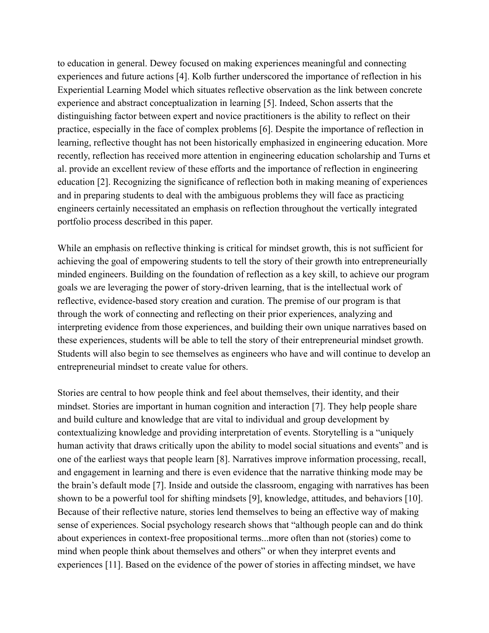to education in general. Dewey focused on making experiences meaningful and connecting experiences and future actions [\[4\] .](https://www.zotero.org/google-docs/?ktMxXs) Kolb further underscored the importance of reflection in his Experiential Learning Model which situates reflective observation as the link between concrete experience and abstract conceptualization in learning [\[5\] .](https://www.zotero.org/google-docs/?GVfd6M) Indeed, Schon asserts that the distinguishing factor between expert and novice practitioners is the ability to reflect on their practice, especially in the face of complex problems [6]. Despite the importance of reflection in learning, reflective thought has not been historically emphasized in engineering education. More recently, reflection has received more attention in engineering education scholarship and Turns et al. provide an excellent review of these efforts and the importance of reflection in engineering education [\[2\] .](https://www.zotero.org/google-docs/?Jx33Mv) Recognizing the significance of reflection both in making meaning of experiences and in preparing students to deal with the ambiguous problems they will face as practicing engineers certainly necessitated an emphasis on reflection throughout the vertically integrated portfolio process described in this paper.

While an emphasis on reflective thinking is critical for mindset growth, this is not sufficient for achieving the goal of empowering students to tell the story of their growth into entrepreneurially minded engineers. Building on the foundation of reflection as a key skill, to achieve our program goals we are leveraging the power of story-driven learning, that is the intellectual work of reflective, evidence-based story creation and curation. The premise of our program is that through the work of connecting and reflecting on their prior experiences, analyzing and interpreting evidence from those experiences, and building their own unique narratives based on these experiences, students will be able to tell the story of their entrepreneurial mindset growth. Students will also begin to see themselves as engineers who have and will continue to develop an entrepreneurial mindset to create value for others.

Stories are central to how people think and feel about themselves, their identity, and their mindset. Stories are important in human cognition and interaction [\[7\]](https://www.zotero.org/google-docs/?ssmc23). They help people share and build culture and knowledge that are vital to individual and group development by contextualizing knowledge and providing interpretation of events. Storytelling is a "uniquely human activity that draws critically upon the ability to model social situations and events" and is one of the earliest ways that people learn [\[8\]](https://www.zotero.org/google-docs/?EEa6qR) . Narratives improve information processing, recall, and engagement in learning and there is even evidence that the narrative thinking mode may be the brain's default mode [\[7\] .](https://www.zotero.org/google-docs/?ypgXaE) Inside and outside the classroom, engaging with narratives has been shown to be a powerful tool for shifting mindsets [9], knowledge, attitudes, and behaviors [10]. Because of their reflective nature, stories lend themselves to being an effective way of making sense of experiences. Social psychology research shows that "although people can and do think about experiences in context-free propositional terms...more often than not (stories) come to mind when people think about themselves and others" or when they interpret events and experiences [\[11\] .](https://www.zotero.org/google-docs/?3RphCc) Based on the evidence of the power of stories in affecting mindset, we have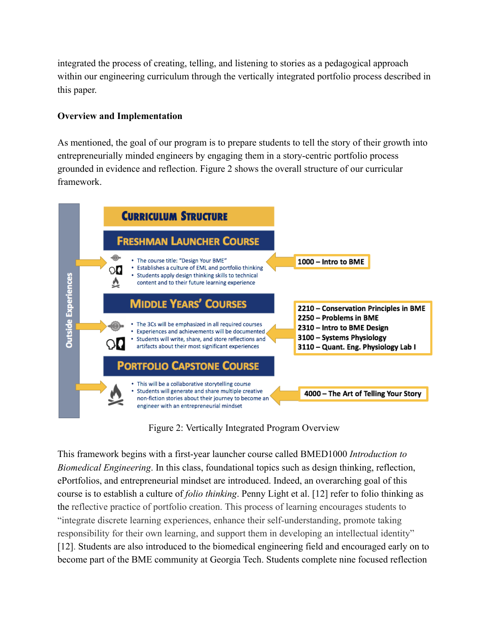integrated the process of creating, telling, and listening to stories as a pedagogical approach within our engineering curriculum through the vertically integrated portfolio process described in this paper.

# **Overview and Implementation**

As mentioned, the goal of our program is to prepare students to tell the story of their growth into entrepreneurially minded engineers by engaging them in a story-centric portfolio process grounded in evidence and reflection. Figure 2 shows the overall structure of our curricular framework.



Figure 2: Vertically Integrated Program Overview

This framework begins with a first-year launcher course called BMED1000 *Introduction to Biomedical Engineering* . In this class, foundational topics such as design thinking, reflection, ePortfolios, and entrepreneurial mindset are introduced. Indeed, an overarching goal of this course is to establish a culture of *folio thinking* . Penny Light et al. [\[12\]](https://www.zotero.org/google-docs/?ajKsx0) refer to folio thinking as the reflective practice of portfolio creation. This process of learning encourages students to "integrate discrete learning experiences, enhance their self-understanding, promote taking responsibility for their own learning, and support them in developing an intellectual identity" [12]. Students are also introduced to the biomedical engineering field and encouraged early on to become part of the BME community at Georgia Tech. Students complete nine focused reflection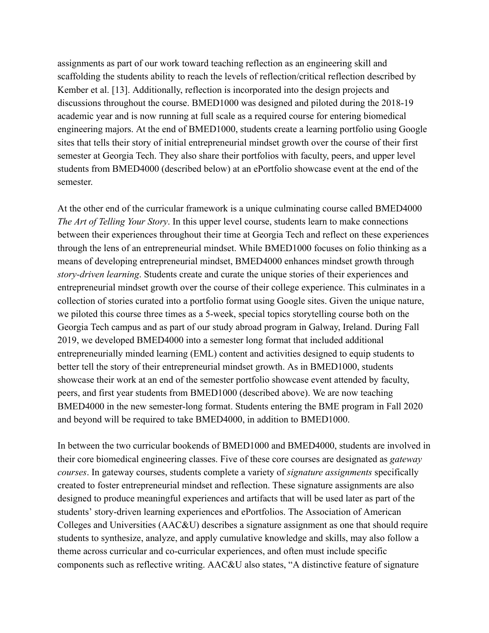assignments as part of our work toward teaching reflection as an engineering skill and scaffolding the students ability to reach the levels of reflection/critical reflection described by Kember et al. [\[13\] .](https://www.zotero.org/google-docs/?YDBesg) Additionally, reflection is incorporated into the design projects and discussions throughout the course. BMED1000 was designed and piloted during the 2018-19 academic year and is now running at full scale as a required course for entering biomedical engineering majors. At the end of BMED1000, students create a learning portfolio using Google sites that tells their story of initial entrepreneurial mindset growth over the course of their first semester at Georgia Tech. They also share their portfolios with faculty, peers, and upper level students from BMED4000 (described below) at an ePortfolio showcase event at the end of the semester.

At the other end of the curricular framework is a unique culminating course called BMED4000 *The Art of Telling Your Story.* In this upper level course, students learn to make connections between their experiences throughout their time at Georgia Tech and reflect on these experiences through the lens of an entrepreneurial mindset. While BMED1000 focuses on folio thinking as a means of developing entrepreneurial mindset, BMED4000 enhances mindset growth through *story-driven learning* . Students create and curate the unique stories of their experiences and entrepreneurial mindset growth over the course of their college experience. This culminates in a collection of stories curated into a portfolio format using Google sites. Given the unique nature, we piloted this course three times as a 5-week, special topics storytelling course both on the Georgia Tech campus and as part of our study abroad program in Galway, Ireland. During Fall 2019, we developed BMED4000 into a semester long format that included additional entrepreneurially minded learning (EML) content and activities designed to equip students to better tell the story of their entrepreneurial mindset growth. As in BMED1000, students showcase their work at an end of the semester portfolio showcase event attended by faculty, peers, and first year students from BMED1000 (described above). We are now teaching BMED4000 in the new semester-long format. Students entering the BME program in Fall 2020 and beyond will be required to take BMED4000, in addition to BMED1000.

In between the two curricular bookends of BMED1000 and BMED4000, students are involved in their core biomedical engineering classes. Five of these core courses are designated as *gateway courses* . In gateway courses, students complete a variety of *signature assignments* specifically created to foster entrepreneurial mindset and reflection. These signature assignments are also designed to produce meaningful experiences and artifacts that will be used later as part of the students' story-driven learning experiences and ePortfolios. The Association of American Colleges and Universities (AAC&U) describes a signature assignment as one that should require students to synthesize, analyze, and apply cumulative knowledge and skills, may also follow a theme across curricular and co-curricular experiences, and often must include specific components such as reflective writing. AAC&U also states, "A distinctive feature of signature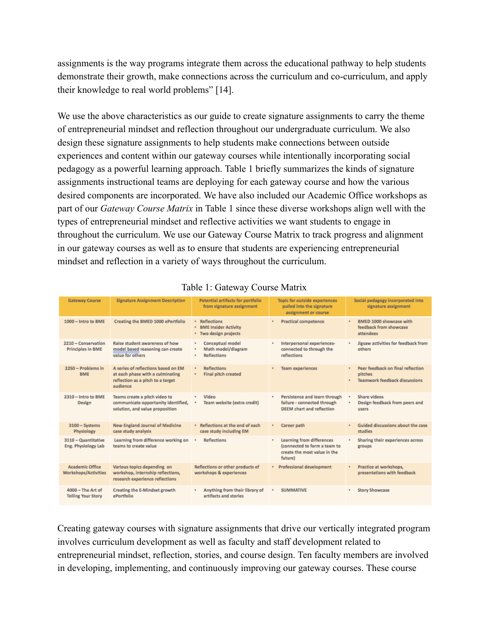assignments is the way programs integrate them across the educational pathway to help students demonstrate their growth, make connections across the curriculum and co-curriculum, and apply their knowledge to real world problems" [\[14\] .](https://www.zotero.org/google-docs/?ddWHSW)

We use the above characteristics as our guide to create signature assignments to carry the theme of entrepreneurial mindset and reflection throughout our undergraduate curriculum. We also design these signature assignments to help students make connections between outside experiences and content within our gateway courses while intentionally incorporating social pedagogy as a powerful learning approach. Table 1 briefly summarizes the kinds of signature assignments instructional teams are deploying for each gateway course and how the various desired components are incorporated. We have also included our Academic Office workshops as part of our *Gateway Course Matrix* in Table 1 since these diverse workshops align well with the types of entrepreneurial mindset and reflective activities we want students to engage in throughout the curriculum. We use our Gateway Course Matrix to track progress and alignment in our gateway courses as well as to ensure that students are experiencing entrepreneurial mindset and reflection in a variety of ways throughout the curriculum.

| <b>Gateway Course</b>                                 | <b>Signature Assignment Description</b>                                                                                  | Potential artifacts for portfolio<br>from signature assignment                     | <b>Topic for outside experiences</b><br>pulled into the signature<br>assignment or course                   | Social pedagogy incorporated into<br>signature assignment                                      |
|-------------------------------------------------------|--------------------------------------------------------------------------------------------------------------------------|------------------------------------------------------------------------------------|-------------------------------------------------------------------------------------------------------------|------------------------------------------------------------------------------------------------|
| 1000 - Intro to BME                                   | Creating the BMED 1000 ePortfolio                                                                                        | • Reflections<br><b>BME Insider Activity</b><br>٠<br>Two design projects<br>٠      | <b>Practical competence</b><br>٠                                                                            | <b>BMED 1000 showcase with</b><br>٠<br>feedback from showcase<br>attendees                     |
| 2210 - Conservation<br><b>Principles in BME</b>       | Raise student awareness of how<br>model based reasoning can create<br>value for others                                   | <b>Conceptual model</b><br>٠<br>Math model/diagram<br>٠<br><b>Reflections</b><br>٠ | Interpersonal experiences-<br>٠<br>connected to through the<br>reflections                                  | Jigsaw activities for feedback from<br>٠<br>others                                             |
| 2250 - Problems in<br><b>BME</b>                      | A series of reflections based on EM<br>at each phase with a culminating<br>reflection as a pitch to a target<br>audience | <b>Reflections</b><br>٠<br><b>Final pitch created</b><br>٠                         | <b>Team experiences</b>                                                                                     | Peer feedback on final reflection<br>٠<br>pitches<br><b>Teamwork feedback discussions</b><br>٠ |
| 2310 - Intro to BME<br><b>Design</b>                  | Teams create a pitch video to<br>communicate opportunity identified,<br>solution, and value proposition                  | Video<br>٠<br>Team website (extra credit)                                          | Persistence and learn through<br>٠<br>failure - connected through<br><b>DEEM</b> chart and reflection       | Share videos<br>٠<br>Design feedback from peers and<br>٠<br><b>LISPITS</b>                     |
| $3100 - Systems$<br>Physiology                        | <b>New England Journal of Medicine</b><br>case study analysis                                                            | Reflections at the end of each<br>٠<br>case study including EM                     | Career path<br>٠                                                                                            | Guided discussions about the case<br>٠<br>studies                                              |
| 3110 - Quantitative<br>Eng. Physiology Lab            | Learning from difference working on<br>teams to create value                                                             | <b>Reflections</b>                                                                 | <b>Learning from differences</b><br>(connected to form a team to<br>create the most value in the<br>future) | Sharing their experiences across<br>٠<br>groups                                                |
| <b>Academic Office</b><br><b>Workshops/Activities</b> | Various topics depending on<br>workshop, internship reflections,<br>research experience reflections                      | Reflections or other products of<br>workshops & experiences                        | <b>Professional development</b><br>$\bullet$                                                                | Practice at workshops,<br>٠<br>presentations with feedback                                     |
| $4000 - The Art of$<br><b>Telling Your Story</b>      | Creating the E-Mindset growth<br>ePortfolio                                                                              | Anything from their library of<br>٠<br>artifacts and stories                       | <b>SUMMATIVE</b>                                                                                            | <b>Story Showcase</b><br>٠                                                                     |

## Table 1: Gateway Course Matrix

Creating gateway courses with signature assignments that drive our vertically integrated program involves curriculum development as well as faculty and staff development related to entrepreneurial mindset, reflection, stories, and course design. Ten faculty members are involved in developing, implementing, and continuously improving our gateway courses. These course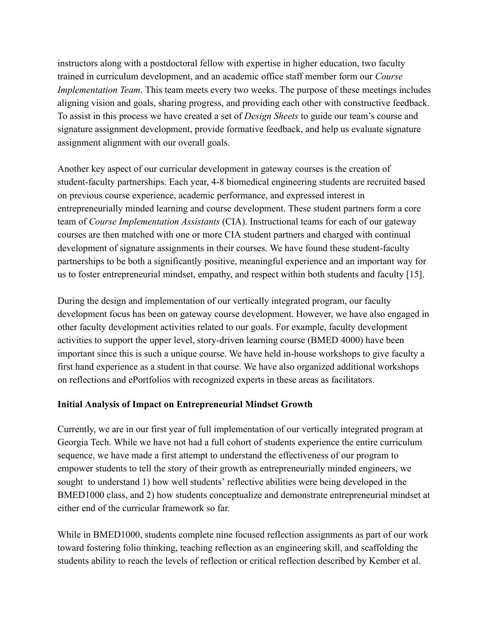instructors along with a postdoctoral fellow with expertise in higher education, two faculty trained in curriculum development, and an academic office staff member form our *Course Implementation Team.* This team meets every two weeks. The purpose of these meetings includes aligning vision and goals, sharing progress, and providing each other with constructive feedback. To assist in this process we have created a set of *Design Sheets* to guide our team's course and signature assignment development, provide formative feedback, and help us evaluate signature assignment alignment with our overall goals.

Another key aspect of our curricular development in gateway courses is the creation of student-faculty partnerships. Each year, 4-8 biomedical engineering students are recruited based on previous course experience, academic performance, and expressed interest in entrepreneurially minded learning and course development. These student partners form a core team of *Course Implementation Assistants* (CIA). Instructional teams for each of our gateway courses are then matched with one or more CIA student partners and charged with continual development of signature assignments in their courses. We have found these student-faculty partnerships to be both a significantly positive, meaningful experience and an important way for us to foster entrepreneurial mindset, empathy, and respect within both students and faculty [\[15\] .](https://www.zotero.org/google-docs/?tIjF08)

During the design and implementation of our vertically integrated program, our faculty development focus has been on gateway course development. However, we have also engaged in other faculty development activities related to our goals. For example, faculty development activities to support the upper level, story-driven learning course (BMED 4000) have been important since this is such a unique course. We have held in-house workshops to give faculty a first hand experience as a student in that course. We have also organized additional workshops on reflections and ePortfolios with recognized experts in these areas as facilitators.

## **Initial Analysis of Impact on Entrepreneurial Mindset Growth**

Currently, we are in our first year of full implementation of our vertically integrated program at Georgia Tech. While we have not had a full cohort of students experience the entire curriculum sequence, we have made a first attempt to understand the effectiveness of our program to empower students to tell the story of their growth as entrepreneurially minded engineers, we sought to understand 1) how well students' reflective abilities were being developed in the BMED1000 class, and 2) how students conceptualize and demonstrate entrepreneurial mindset at either end of the curricular framework so far.

While in BMED1000, students complete nine focused reflection assignments as part of our work toward fostering folio thinking, teaching reflection as an engineering skill, and scaffolding the students ability to reach the levels of reflection or critical reflection described by Kember et al.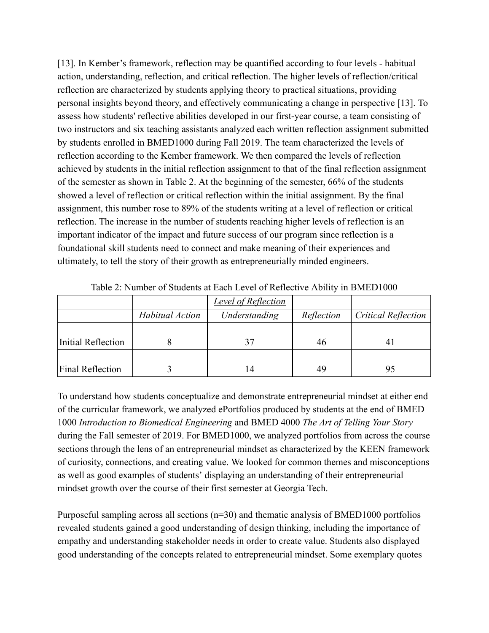[13]. In Kember's framework, reflection may be quantified according to four levels - habitual action, understanding, reflection, and critical reflection. The higher levels of reflection/critical reflection are characterized by students applying theory to practical situations, providing personal insights beyond theory, and effectively communicating a change in perspective [\[13\] .](https://www.zotero.org/google-docs/?Vc0fh8) To assess how students' reflective abilities developed in our first-year course, a team consisting of two instructors and six teaching assistants analyzed each written reflection assignment submitted by students enrolled in BMED1000 during Fall 2019. The team characterized the levels of reflection according to the Kember framework. We then compared the levels of reflection achieved by students in the initial reflection assignment to that of the final reflection assignment of the semester as shown in Table 2. At the beginning of the semester, 66% of the students showed a level of reflection or critical reflection within the initial assignment. By the final assignment, this number rose to 89% of the students writing at a level of reflection or critical reflection. The increase in the number of students reaching higher levels of reflection is an important indicator of the impact and future success of our program since reflection is a foundational skill students need to connect and make meaning of their experiences and ultimately, to tell the story of their growth as entrepreneurially minded engineers.

|                         |                 | <b>Level of Reflection</b> |            |                            |
|-------------------------|-----------------|----------------------------|------------|----------------------------|
|                         | Habitual Action | Understanding              | Reflection | <b>Critical Reflection</b> |
|                         |                 |                            |            |                            |
| Initial Reflection      |                 |                            | 46         | 4                          |
|                         |                 |                            |            |                            |
| <b>Final Reflection</b> |                 | 14                         | 49         | 95                         |

Table 2: Number of Students at Each Level of Reflective Ability in BMED1000

To understand how students conceptualize and demonstrate entrepreneurial mindset at either end of the curricular framework, we analyzed ePortfolios produced by students at the end of BMED 1000 *Introduction to Biomedical Engineering* and BMED 4000 *The Art of Telling Your Story*  during the Fall semester of 2019. For BMED1000, we analyzed portfolios from across the course sections through the lens of an entrepreneurial mindset as characterized by the KEEN framework of curiosity, connections, and creating value. We looked for common themes and misconceptions as well as good examples of students' displaying an understanding of their entrepreneurial mindset growth over the course of their first semester at Georgia Tech.

Purposeful sampling across all sections  $(n=30)$  and thematic analysis of BMED1000 portfolios revealed students gained a good understanding of design thinking, including the importance of empathy and understanding stakeholder needs in order to create value. Students also displayed good understanding of the concepts related to entrepreneurial mindset. Some exemplary quotes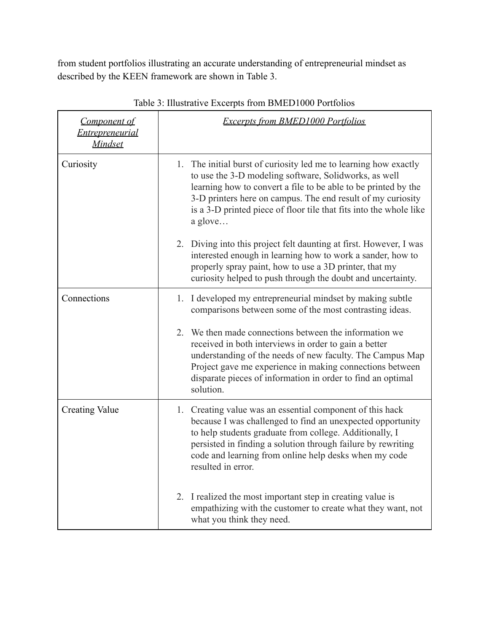from student portfolios illustrating an accurate understanding of entrepreneurial mindset as described by the KEEN framework are shown in Table 3.

| <b>Component of</b><br><b>Entrepreneurial</b><br><b>Mindset</b> | <b>Excerpts from BMED1000 Portfolios</b>                                                                                                                                                                                                                                                                                                    |
|-----------------------------------------------------------------|---------------------------------------------------------------------------------------------------------------------------------------------------------------------------------------------------------------------------------------------------------------------------------------------------------------------------------------------|
| Curiosity                                                       | 1. The initial burst of curiosity led me to learning how exactly<br>to use the 3-D modeling software, Solidworks, as well<br>learning how to convert a file to be able to be printed by the<br>3-D printers here on campus. The end result of my curiosity<br>is a 3-D printed piece of floor tile that fits into the whole like<br>a glove |
|                                                                 | 2. Diving into this project felt daunting at first. However, I was<br>interested enough in learning how to work a sander, how to<br>properly spray paint, how to use a 3D printer, that my<br>curiosity helped to push through the doubt and uncertainty.                                                                                   |
| Connections                                                     | 1. I developed my entrepreneurial mindset by making subtle<br>comparisons between some of the most contrasting ideas.                                                                                                                                                                                                                       |
|                                                                 | 2. We then made connections between the information we<br>received in both interviews in order to gain a better<br>understanding of the needs of new faculty. The Campus Map<br>Project gave me experience in making connections between<br>disparate pieces of information in order to find an optimal<br>solution.                        |
| <b>Creating Value</b>                                           | 1. Creating value was an essential component of this hack<br>because I was challenged to find an unexpected opportunity<br>to help students graduate from college. Additionally, I<br>persisted in finding a solution through failure by rewriting<br>code and learning from online help desks when my code<br>resulted in error.           |
|                                                                 | I realized the most important step in creating value is<br>2.<br>empathizing with the customer to create what they want, not<br>what you think they need.                                                                                                                                                                                   |

Table 3: Illustrative Excerpts from BMED1000 Portfolios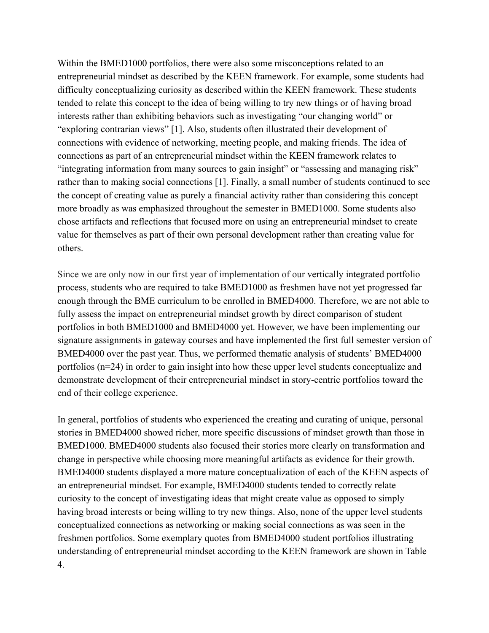Within the BMED1000 portfolios, there were also some misconceptions related to an entrepreneurial mindset as described by the KEEN framework. For example, some students had difficulty conceptualizing curiosity as described within the KEEN framework. These students tended to relate this concept to the idea of being willing to try new things or of having broad interests rather than exhibiting behaviors such as investigating "our changing world" or "exploring contrarian views" [\[1\]](https://www.zotero.org/google-docs/?FMOLmw) . Also, students often illustrated their development of connections with evidence of networking, meeting people, and making friends. The idea of connections as part of an entrepreneurial mindset within the KEEN framework relates to "integrating information from many sources to gain insight" or "assessing and managing risk" rather than to making social connections [\[1\] .](https://www.zotero.org/google-docs/?Zw8fua) Finally, a small number of students continued to see the concept of creating value as purely a financial activity rather than considering this concept more broadly as was emphasized throughout the semester in BMED1000. Some students also chose artifacts and reflections that focused more on using an entrepreneurial mindset to create value for themselves as part of their own personal development rather than creating value for others.

Since we are only now in our first year of implementation of our vertically integrated portfolio process, students who are required to take BMED1000 as freshmen have not yet progressed far enough through the BME curriculum to be enrolled in BMED4000. Therefore, we are not able to fully assess the impact on entrepreneurial mindset growth by direct comparison of student portfolios in both BMED1000 and BMED4000 yet. However, we have been implementing our signature assignments in gateway courses and have implemented the first full semester version of BMED4000 over the past year. Thus, we performed thematic analysis of students' BMED4000 portfolios (n=24) in order to gain insight into how these upper level students conceptualize and demonstrate development of their entrepreneurial mindset in story-centric portfolios toward the end of their college experience.

In general, portfolios of students who experienced the creating and curating of unique, personal stories in BMED4000 showed richer, more specific discussions of mindset growth than those in BMED1000. BMED4000 students also focused their stories more clearly on transformation and change in perspective while choosing more meaningful artifacts as evidence for their growth. BMED4000 students displayed a more mature conceptualization of each of the KEEN aspects of an entrepreneurial mindset. For example, BMED4000 students tended to correctly relate curiosity to the concept of investigating ideas that might create value as opposed to simply having broad interests or being willing to try new things. Also, none of the upper level students conceptualized connections as networking or making social connections as was seen in the freshmen portfolios. Some exemplary quotes from BMED4000 student portfolios illustrating understanding of entrepreneurial mindset according to the KEEN framework are shown in Table 4.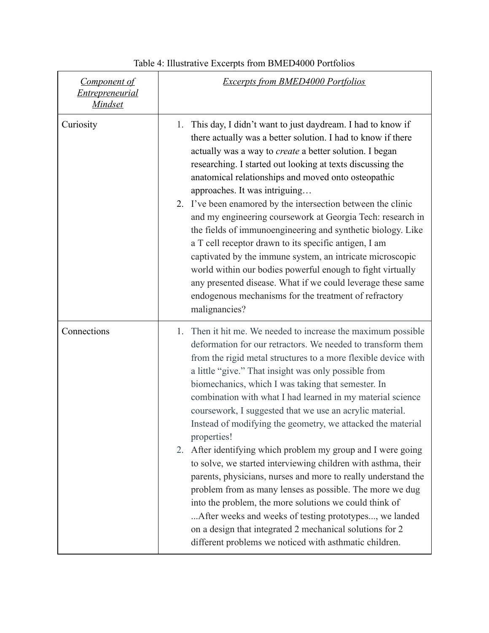| <b>Component of</b><br><b>Entrepreneurial</b><br><u>Mindset</u> | <b>Excerpts from BMED4000 Portfolios</b>                                                                                                                                                                                                                                                                                                                                                                                                                                                                                                                                                                                                                                                                                                                                                                                                                                                                                                                                                                                           |
|-----------------------------------------------------------------|------------------------------------------------------------------------------------------------------------------------------------------------------------------------------------------------------------------------------------------------------------------------------------------------------------------------------------------------------------------------------------------------------------------------------------------------------------------------------------------------------------------------------------------------------------------------------------------------------------------------------------------------------------------------------------------------------------------------------------------------------------------------------------------------------------------------------------------------------------------------------------------------------------------------------------------------------------------------------------------------------------------------------------|
| Curiosity                                                       | This day, I didn't want to just daydream. I had to know if<br>1.<br>there actually was a better solution. I had to know if there<br>actually was a way to <i>create</i> a better solution. I began<br>researching. I started out looking at texts discussing the<br>anatomical relationships and moved onto osteopathic<br>approaches. It was intriguing<br>2. I've been enamored by the intersection between the clinic<br>and my engineering coursework at Georgia Tech: research in<br>the fields of immunoengineering and synthetic biology. Like<br>a T cell receptor drawn to its specific antigen, I am<br>captivated by the immune system, an intricate microscopic<br>world within our bodies powerful enough to fight virtually<br>any presented disease. What if we could leverage these same<br>endogenous mechanisms for the treatment of refractory<br>malignancies?                                                                                                                                                 |
| Connections                                                     | Then it hit me. We needed to increase the maximum possible<br>1.<br>deformation for our retractors. We needed to transform them<br>from the rigid metal structures to a more flexible device with<br>a little "give." That insight was only possible from<br>biomechanics, which I was taking that semester. In<br>combination with what I had learned in my material science<br>coursework, I suggested that we use an acrylic material.<br>Instead of modifying the geometry, we attacked the material<br>properties!<br>After identifying which problem my group and I were going<br>2.<br>to solve, we started interviewing children with asthma, their<br>parents, physicians, nurses and more to really understand the<br>problem from as many lenses as possible. The more we dug<br>into the problem, the more solutions we could think of<br>After weeks and weeks of testing prototypes, we landed<br>on a design that integrated 2 mechanical solutions for 2<br>different problems we noticed with asthmatic children. |

# Table 4: Illustrative Excerpts from BMED4000 Portfolios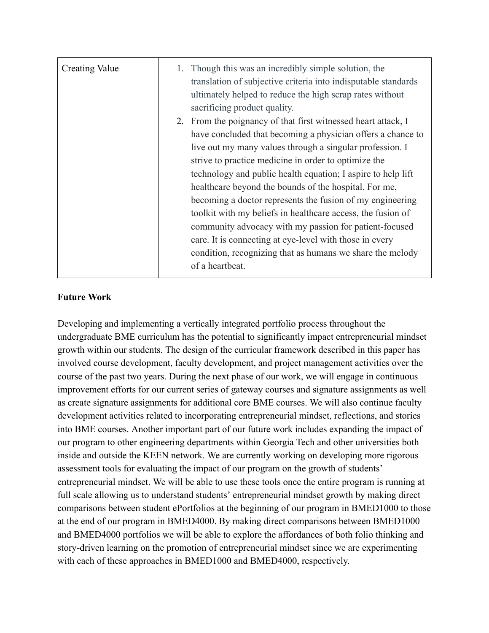| <b>Creating Value</b> | 1. | Though this was an incredibly simple solution, the<br>translation of subjective criteria into indisputable standards<br>ultimately helped to reduce the high scrap rates without<br>sacrificing product quality.                                                                                                                                                                                                                                                                                                                                                                                                                                                                                           |
|-----------------------|----|------------------------------------------------------------------------------------------------------------------------------------------------------------------------------------------------------------------------------------------------------------------------------------------------------------------------------------------------------------------------------------------------------------------------------------------------------------------------------------------------------------------------------------------------------------------------------------------------------------------------------------------------------------------------------------------------------------|
|                       |    | 2. From the poignancy of that first witnessed heart attack, I<br>have concluded that becoming a physician offers a chance to<br>live out my many values through a singular profession. I<br>strive to practice medicine in order to optimize the<br>technology and public health equation; I aspire to help lift<br>healthcare beyond the bounds of the hospital. For me,<br>becoming a doctor represents the fusion of my engineering<br>toolkit with my beliefs in healthcare access, the fusion of<br>community advocacy with my passion for patient-focused<br>care. It is connecting at eye-level with those in every<br>condition, recognizing that as humans we share the melody<br>of a heartbeat. |

# **Future Work**

Developing and implementing a vertically integrated portfolio process throughout the undergraduate BME curriculum has the potential to significantly impact entrepreneurial mindset growth within our students. The design of the curricular framework described in this paper has involved course development, faculty development, and project management activities over the course of the past two years. During the next phase of our work, we will engage in continuous improvement efforts for our current series of gateway courses and signature assignments as well as create signature assignments for additional core BME courses. We will also continue faculty development activities related to incorporating entrepreneurial mindset, reflections, and stories into BME courses. Another important part of our future work includes expanding the impact of our program to other engineering departments within Georgia Tech and other universities both inside and outside the KEEN network. We are currently working on developing more rigorous assessment tools for evaluating the impact of our program on the growth of students' entrepreneurial mindset. We will be able to use these tools once the entire program is running at full scale allowing us to understand students' entrepreneurial mindset growth by making direct comparisons between student ePortfolios at the beginning of our program in BMED1000 to those at the end of our program in BMED4000. By making direct comparisons between BMED1000 and BMED4000 portfolios we will be able to explore the affordances of both folio thinking and story-driven learning on the promotion of entrepreneurial mindset since we are experimenting with each of these approaches in BMED1000 and BMED4000, respectively.